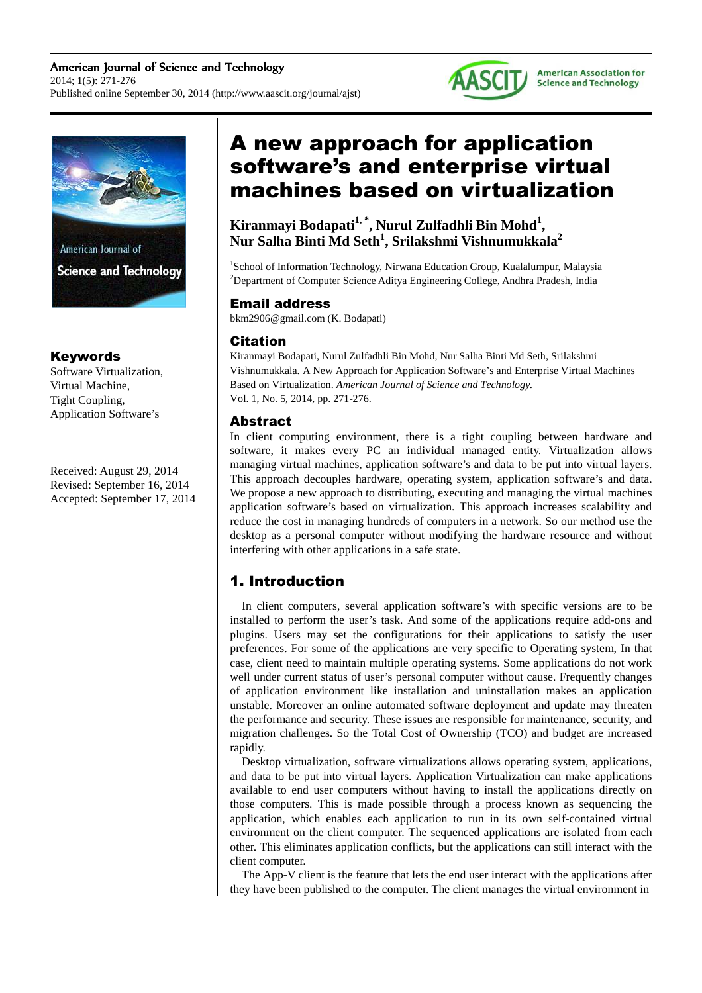



**Science and Technology** 

# Keywords

Software Virtualization, Virtual Machine, Tight Coupling, Application Software's

Received: August 29, 2014 Revised: September 16, 2014 Accepted: September 17, 2014

# A new approach for application software's and enterprise virtual machines based on virtualization

**Kiranmayi Bodapati1, \*, Nurul Zulfadhli Bin Mohd<sup>1</sup> , Nur Salha Binti Md Seth<sup>1</sup> , Srilakshmi Vishnumukkala<sup>2</sup>**

<sup>1</sup>School of Information Technology, Nirwana Education Group, Kualalumpur, Malaysia <sup>2</sup>Department of Computer Science Aditya Engineering College, Andhra Pradesh, India

# Email address

bkm2906@gmail.com (K. Bodapati)

# Citation

Kiranmayi Bodapati, Nurul Zulfadhli Bin Mohd, Nur Salha Binti Md Seth, Srilakshmi Vishnumukkala. A New Approach for Application Software's and Enterprise Virtual Machines Based on Virtualization. *American Journal of Science and Technology.* Vol. 1, No. 5, 2014, pp. 271-276.

# Abstract

In client computing environment, there is a tight coupling between hardware and software, it makes every PC an individual managed entity. Virtualization allows managing virtual machines, application software's and data to be put into virtual layers. This approach decouples hardware, operating system, application software's and data. We propose a new approach to distributing, executing and managing the virtual machines application software's based on virtualization. This approach increases scalability and reduce the cost in managing hundreds of computers in a network. So our method use the desktop as a personal computer without modifying the hardware resource and without interfering with other applications in a safe state.

# 1. Introduction

In client computers, several application software's with specific versions are to be installed to perform the user's task. And some of the applications require add-ons and plugins. Users may set the configurations for their applications to satisfy the user preferences. For some of the applications are very specific to Operating system, In that case, client need to maintain multiple operating systems. Some applications do not work well under current status of user's personal computer without cause. Frequently changes of application environment like installation and uninstallation makes an application unstable. Moreover an online automated software deployment and update may threaten the performance and security. These issues are responsible for maintenance, security, and migration challenges. So the Total Cost of Ownership (TCO) and budget are increased rapidly.

Desktop virtualization, software virtualizations allows operating system, applications, and data to be put into virtual layers. Application Virtualization can make applications available to end user computers without having to install the applications directly on those computers. This is made possible through a process known as sequencing the application, which enables each application to run in its own self-contained virtual environment on the client computer. The sequenced applications are isolated from each other. This eliminates application conflicts, but the applications can still interact with the client computer.

The App-V client is the feature that lets the end user interact with the applications after they have been published to the computer. The client manages the virtual environment in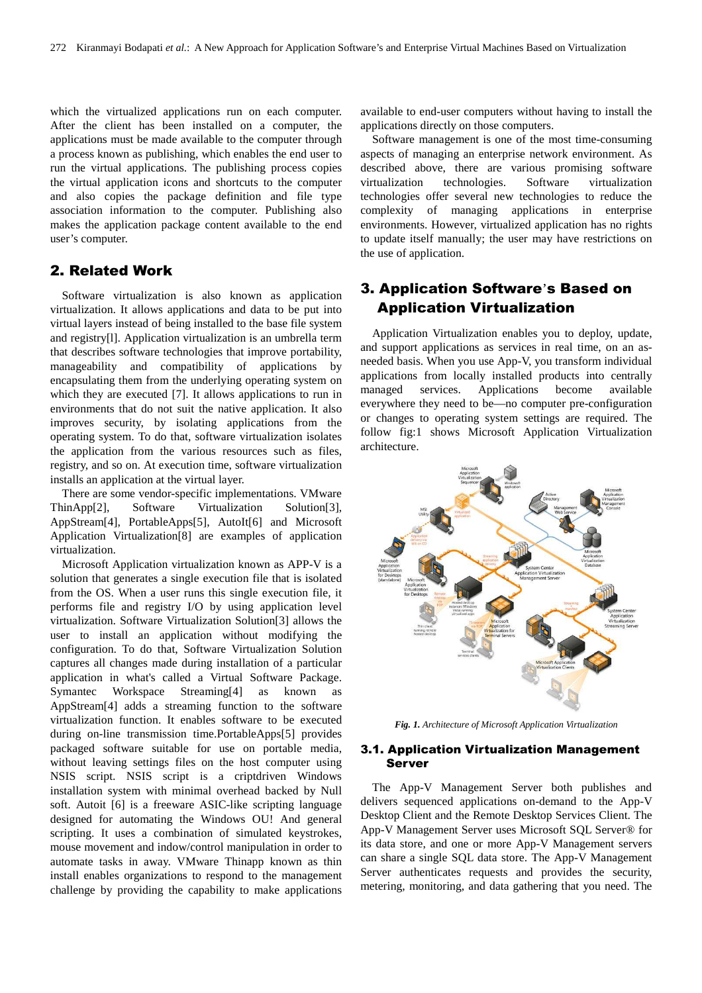which the virtualized applications run on each computer. After the client has been installed on a computer, the applications must be made available to the computer through a process known as publishing, which enables the end user to run the virtual applications. The publishing process copies the virtual application icons and shortcuts to the computer and also copies the package definition and file type association information to the computer. Publishing also makes the application package content available to the end user's computer.

# 2. Related Work

Software virtualization is also known as application virtualization. It allows applications and data to be put into virtual layers instead of being installed to the base file system and registry[l]. Application virtualization is an umbrella term that describes software technologies that improve portability, manageability and compatibility of applications by encapsulating them from the underlying operating system on which they are executed [7]. It allows applications to run in environments that do not suit the native application. It also improves security, by isolating applications from the operating system. To do that, software virtualization isolates the application from the various resources such as files, registry, and so on. At execution time, software virtualization installs an application at the virtual layer.

There are some vendor-specific implementations. VMware ThinApp[2], Software Virtualization Solution[3], AppStream[4], PortableApps[5], AutoIt[6] and Microsoft Application Virtualization[8] are examples of application virtualization.

Microsoft Application virtualization known as APP-V is a solution that generates a single execution file that is isolated from the OS. When a user runs this single execution file, it performs file and registry I/O by using application level virtualization. Software Virtualization Solution[3] allows the user to install an application without modifying the configuration. To do that, Software Virtualization Solution captures all changes made during installation of a particular application in what's called a Virtual Software Package. Symantec Workspace Streaming[4] as known as AppStream[4] adds a streaming function to the software virtualization function. It enables software to be executed during on-line transmission time.PortableApps[5] provides packaged software suitable for use on portable media, without leaving settings files on the host computer using NSIS script. NSIS script is a criptdriven Windows installation system with minimal overhead backed by Null soft. Autoit [6] is a freeware ASIC-like scripting language designed for automating the Windows OU! And general scripting. It uses a combination of simulated keystrokes, mouse movement and indow/control manipulation in order to automate tasks in away. VMware Thinapp known as thin install enables organizations to respond to the management challenge by providing the capability to make applications

available to end-user computers without having to install the applications directly on those computers.

Software management is one of the most time-consuming aspects of managing an enterprise network environment. As described above, there are various promising software virtualization technologies. Software virtualization technologies offer several new technologies to reduce the complexity of managing applications in enterprise environments. However, virtualized application has no rights to update itself manually; the user may have restrictions on the use of application.

# 3. Application Software's Based on Application Virtualization

Application Virtualization enables you to deploy, update, and support applications as services in real time, on an asneeded basis. When you use App-V, you transform individual applications from locally installed products into centrally managed services. Applications become available everywhere they need to be—no computer pre-configuration or changes to operating system settings are required. The follow fig:1 shows Microsoft Application Virtualization architecture.



*Fig. 1. Architecture of Microsoft Application Virtualization* 

### 3.1. Application Virtualization Management Server

The App-V Management Server both publishes and delivers sequenced applications on-demand to the App-V Desktop Client and the Remote Desktop Services Client. The App-V Management Server uses Microsoft SQL Server® for its data store, and one or more App-V Management servers can share a single SQL data store. The App-V Management Server authenticates requests and provides the security, metering, monitoring, and data gathering that you need. The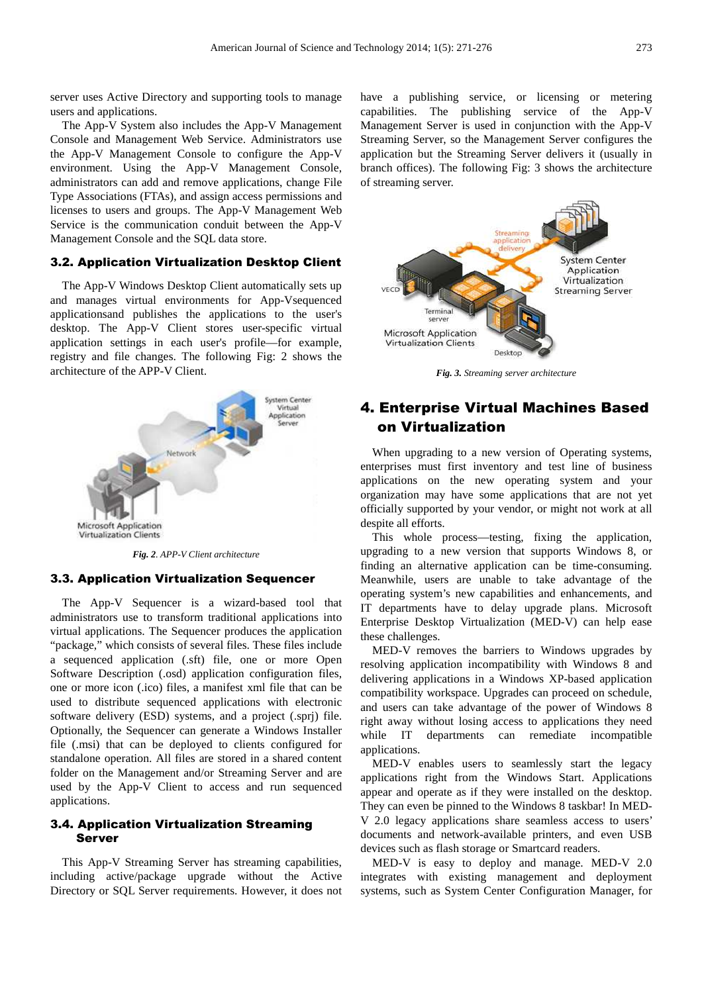server uses Active Directory and supporting tools to manage users and applications.

The App-V System also includes the App-V Management Console and Management Web Service. Administrators use the App-V Management Console to configure the App-V environment. Using the App-V Management Console, administrators can add and remove applications, change File Type Associations (FTAs), and assign access permissions and licenses to users and groups. The App-V Management Web Service is the communication conduit between the App-V Management Console and the SQL data store.

### 3.2. Application Virtualization Desktop Client

The App-V Windows Desktop Client automatically sets up and manages virtual environments for App-Vsequenced applicationsand publishes the applications to the user's desktop. The App-V Client stores user-specific virtual application settings in each user's profile—for example, registry and file changes. The following Fig: 2 shows the architecture of the APP-V Client.



*Fig. 2. APP-V Client architecture* 

#### 3.3. Application Virtualization Sequencer

The App-V Sequencer is a wizard-based tool that administrators use to transform traditional applications into virtual applications. The Sequencer produces the application "package," which consists of several files. These files include a sequenced application (.sft) file, one or more Open Software Description (.osd) application configuration files, one or more icon (.ico) files, a manifest xml file that can be used to distribute sequenced applications with electronic software delivery (ESD) systems, and a project (.sprj) file. Optionally, the Sequencer can generate a Windows Installer file (.msi) that can be deployed to clients configured for standalone operation. All files are stored in a shared content folder on the Management and/or Streaming Server and are used by the App-V Client to access and run sequenced applications.

### 3.4. Application Virtualization Streaming Server

This App-V Streaming Server has streaming capabilities, including active/package upgrade without the Active Directory or SQL Server requirements. However, it does not have a publishing service, or licensing or metering capabilities. The publishing service of the App-V Management Server is used in conjunction with the App-V Streaming Server, so the Management Server configures the application but the Streaming Server delivers it (usually in branch offices). The following Fig: 3 shows the architecture of streaming server.



*Fig. 3. Streaming server architecture* 

# 4. Enterprise Virtual Machines Based on Virtualization

When upgrading to a new version of Operating systems, enterprises must first inventory and test line of business applications on the new operating system and your organization may have some applications that are not yet officially supported by your vendor, or might not work at all despite all efforts.

This whole process—testing, fixing the application, upgrading to a new version that supports Windows 8, or finding an alternative application can be time-consuming. Meanwhile, users are unable to take advantage of the operating system's new capabilities and enhancements, and IT departments have to delay upgrade plans. Microsoft Enterprise Desktop Virtualization (MED-V) can help ease these challenges.

MED-V removes the barriers to Windows upgrades by resolving application incompatibility with Windows 8 and delivering applications in a Windows XP-based application compatibility workspace. Upgrades can proceed on schedule, and users can take advantage of the power of Windows 8 right away without losing access to applications they need while IT departments can remediate incompatible applications.

MED-V enables users to seamlessly start the legacy applications right from the Windows Start. Applications appear and operate as if they were installed on the desktop. They can even be pinned to the Windows 8 taskbar! In MED-V 2.0 legacy applications share seamless access to users' documents and network-available printers, and even USB devices such as flash storage or Smartcard readers.

MED-V is easy to deploy and manage. MED-V 2.0 integrates with existing management and deployment systems, such as System Center Configuration Manager, for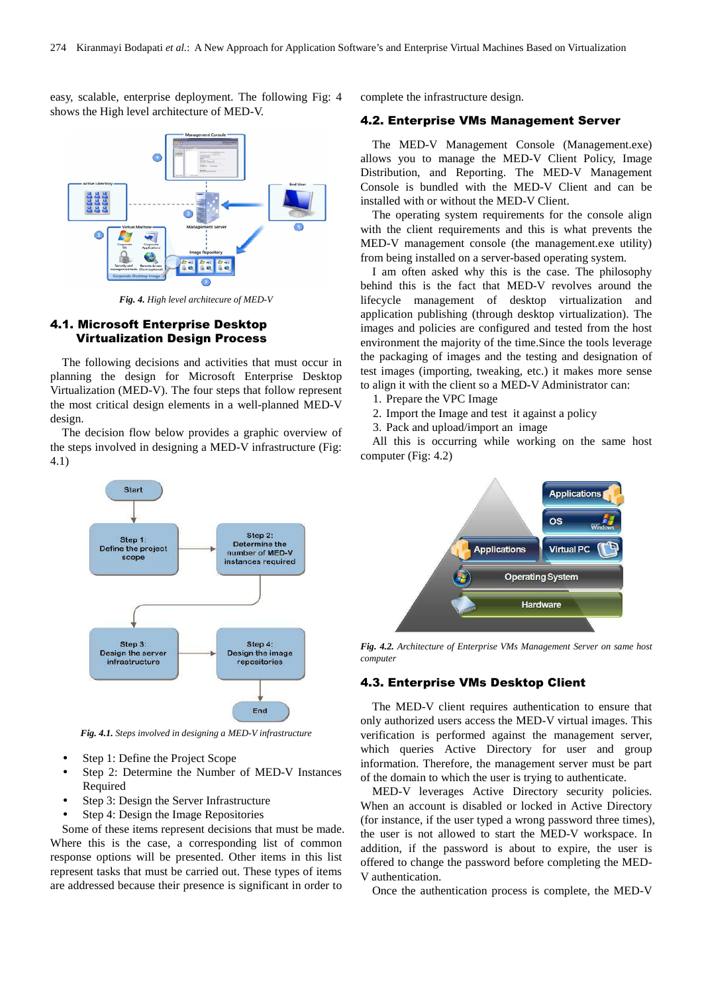easy, scalable, enterprise deployment. The following Fig: 4 shows the High level architecture of MED-V.



*Fig. 4. High level architecure of MED-V* 

### 4.1. Microsoft Enterprise Desktop Virtualization Design Process

The following decisions and activities that must occur in planning the design for Microsoft Enterprise Desktop Virtualization (MED-V). The four steps that follow represent the most critical design elements in a well-planned MED-V design.

The decision flow below provides a graphic overview of the steps involved in designing a MED-V infrastructure (Fig: 4.1)



*Fig. 4.1. Steps involved in designing a MED-V infrastructure*

- Step 1: Define the Project Scope
- Step 2: Determine the Number of MED-V Instances Required
- Step 3: Design the Server Infrastructure
- Step 4: Design the Image Repositories

Some of these items represent decisions that must be made. Where this is the case, a corresponding list of common response options will be presented. Other items in this list represent tasks that must be carried out. These types of items are addressed because their presence is significant in order to

complete the infrastructure design.

### 4.2. Enterprise VMs Management Server

The MED-V Management Console (Management.exe) allows you to manage the MED-V Client Policy, Image Distribution, and Reporting. The MED-V Management Console is bundled with the MED-V Client and can be installed with or without the MED-V Client.

The operating system requirements for the console align with the client requirements and this is what prevents the MED-V management console (the management.exe utility) from being installed on a server-based operating system.

I am often asked why this is the case. The philosophy behind this is the fact that MED-V revolves around the lifecycle management of desktop virtualization and application publishing (through desktop virtualization). The images and policies are configured and tested from the host environment the majority of the time.Since the tools leverage the packaging of images and the testing and designation of test images (importing, tweaking, etc.) it makes more sense to align it with the client so a MED-V Administrator can:

- 1. Prepare the VPC Image
- 2. Import the Image and test it against a policy
- 3. Pack and upload/import an image

All this is occurring while working on the same host computer (Fig: 4.2)



*Fig. 4.2. Architecture of Enterprise VMs Management Server on same host computer*

### 4.3. Enterprise VMs Desktop Client

The MED-V client requires authentication to ensure that only authorized users access the MED-V virtual images. This verification is performed against the management server, which queries Active Directory for user and group information. Therefore, the management server must be part of the domain to which the user is trying to authenticate.

MED-V leverages Active Directory security policies. When an account is disabled or locked in Active Directory (for instance, if the user typed a wrong password three times), the user is not allowed to start the MED-V workspace. In addition, if the password is about to expire, the user is offered to change the password before completing the MED-V authentication.

Once the authentication process is complete, the MED-V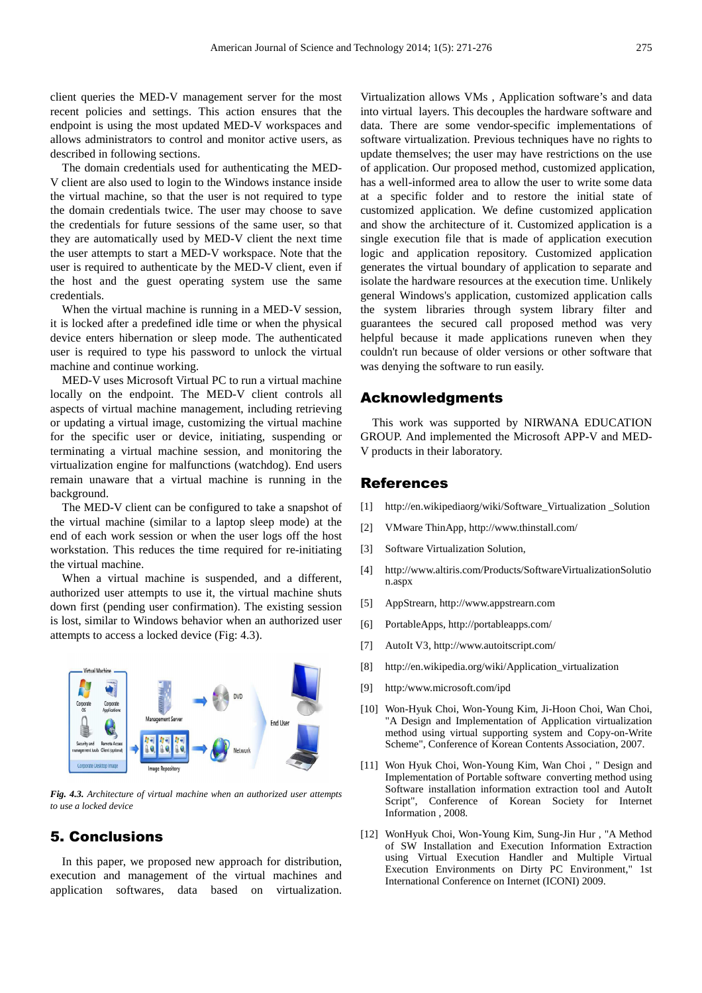client queries the MED-V management server for the most recent policies and settings. This action ensures that the endpoint is using the most updated MED-V workspaces and allows administrators to control and monitor active users, as described in following sections.

The domain credentials used for authenticating the MED-V client are also used to login to the Windows instance inside the virtual machine, so that the user is not required to type the domain credentials twice. The user may choose to save the credentials for future sessions of the same user, so that they are automatically used by MED-V client the next time the user attempts to start a MED-V workspace. Note that the user is required to authenticate by the MED-V client, even if the host and the guest operating system use the same credentials.

When the virtual machine is running in a MED-V session, it is locked after a predefined idle time or when the physical device enters hibernation or sleep mode. The authenticated user is required to type his password to unlock the virtual machine and continue working.

MED-V uses Microsoft Virtual PC to run a virtual machine locally on the endpoint. The MED-V client controls all aspects of virtual machine management, including retrieving or updating a virtual image, customizing the virtual machine for the specific user or device, initiating, suspending or terminating a virtual machine session, and monitoring the virtualization engine for malfunctions (watchdog). End users remain unaware that a virtual machine is running in the background.

The MED-V client can be configured to take a snapshot of the virtual machine (similar to a laptop sleep mode) at the end of each work session or when the user logs off the host workstation. This reduces the time required for re-initiating the virtual machine.

When a virtual machine is suspended, and a different, authorized user attempts to use it, the virtual machine shuts down first (pending user confirmation). The existing session is lost, similar to Windows behavior when an authorized user attempts to access a locked device (Fig: 4.3).



*Fig. 4.3. Architecture of virtual machine when an authorized user attempts to use a locked device* 

# 5. Conclusions

In this paper, we proposed new approach for distribution, execution and management of the virtual machines and application softwares, data based on virtualization. Virtualization allows VMs , Application software's and data into virtual layers. This decouples the hardware software and data. There are some vendor-specific implementations of software virtualization. Previous techniques have no rights to update themselves; the user may have restrictions on the use of application. Our proposed method, customized application, has a well-informed area to allow the user to write some data at a specific folder and to restore the initial state of customized application. We define customized application and show the architecture of it. Customized application is a single execution file that is made of application execution logic and application repository. Customized application generates the virtual boundary of application to separate and isolate the hardware resources at the execution time. Unlikely general Windows's application, customized application calls the system libraries through system library filter and guarantees the secured call proposed method was very helpful because it made applications runeven when they couldn't run because of older versions or other software that was denying the software to run easily.

### Acknowledgments

This work was supported by NIRWANA EDUCATION GROUP. And implemented the Microsoft APP-V and MED-V products in their laboratory.

### References

- [1] http://en.wikipediaorg/wiki/Software\_Virtualization \_Solution
- [2] VMware ThinApp, http://www.thinstall.com/
- [3] Software Virtualization Solution,
- [4] http://www.altiris.com/Products/SoftwareVirtualizationSolutio n.aspx
- [5] AppStrearn, http://www.appstrearn.com
- [6] PortableApps, http://portableapps.com/
- [7] AutoIt V3, http://www.autoitscript.com/
- [8] http://en.wikipedia.org/wiki/Application\_virtualization
- [9] http:/www.microsoft.com/ipd
- [10] Won-Hyuk Choi, Won-Young Kim, Ji-Hoon Choi, Wan Choi, "A Design and Implementation of Application virtualization method using virtual supporting system and Copy-on-Write Scheme", Conference of Korean Contents Association, 2007.
- [11] Won Hyuk Choi, Won-Young Kim, Wan Choi , " Design and Implementation of Portable software converting method using Software installation information extraction tool and AutoIt Script", Conference of Korean Society for Internet Information , 2008.
- [12] WonHyuk Choi, Won-Young Kim, Sung-Jin Hur , "A Method of SW Installation and Execution Information Extraction using Virtual Execution Handler and Multiple Virtual Execution Environments on Dirty PC Environment," 1st International Conference on Internet (ICONI) 2009.